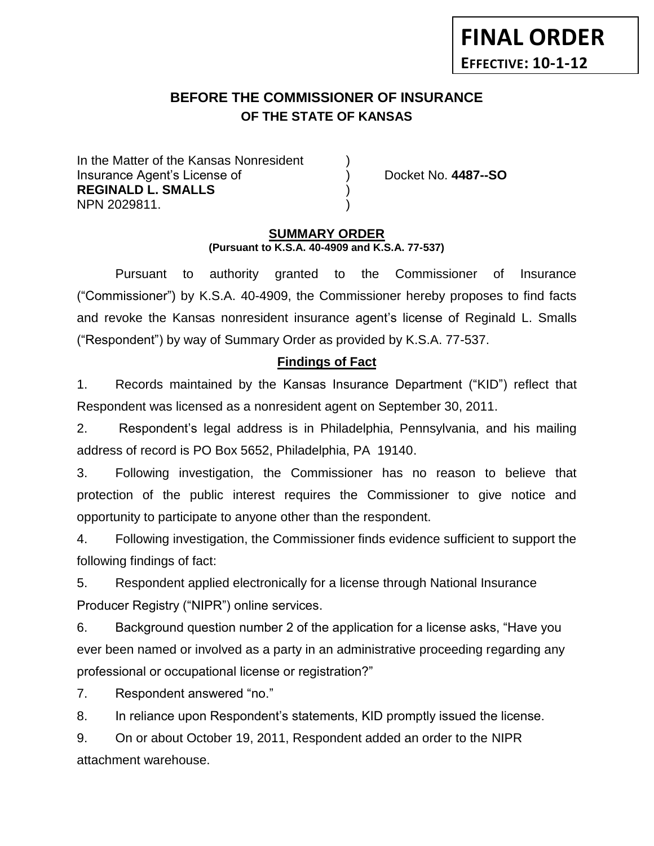# **BEFORE THE COMMISSIONER OF INSURANCE OF THE STATE OF KANSAS**

In the Matter of the Kansas Nonresident Insurance Agent's License of ) Docket No. **4487--SO REGINALD L. SMALLS** ) NPN 2029811. )

**FINAL ORDER**

**EFFECTIVE: 10-1-12**

#### **SUMMARY ORDER (Pursuant to K.S.A. 40-4909 and K.S.A. 77-537)**

Pursuant to authority granted to the Commissioner of Insurance ("Commissioner") by K.S.A. 40-4909, the Commissioner hereby proposes to find facts and revoke the Kansas nonresident insurance agent's license of Reginald L. Smalls ("Respondent") by way of Summary Order as provided by K.S.A. 77-537.

# **Findings of Fact**

1. Records maintained by the Kansas Insurance Department ("KID") reflect that Respondent was licensed as a nonresident agent on September 30, 2011.

2. Respondent's legal address is in Philadelphia, Pennsylvania, and his mailing address of record is PO Box 5652, Philadelphia, PA 19140.

3. Following investigation, the Commissioner has no reason to believe that protection of the public interest requires the Commissioner to give notice and opportunity to participate to anyone other than the respondent.

4. Following investigation, the Commissioner finds evidence sufficient to support the following findings of fact:

5. Respondent applied electronically for a license through National Insurance Producer Registry ("NIPR") online services.

6. Background question number 2 of the application for a license asks, "Have you ever been named or involved as a party in an administrative proceeding regarding any professional or occupational license or registration?"

7. Respondent answered "no."

8. In reliance upon Respondent's statements, KID promptly issued the license.

9. On or about October 19, 2011, Respondent added an order to the NIPR attachment warehouse.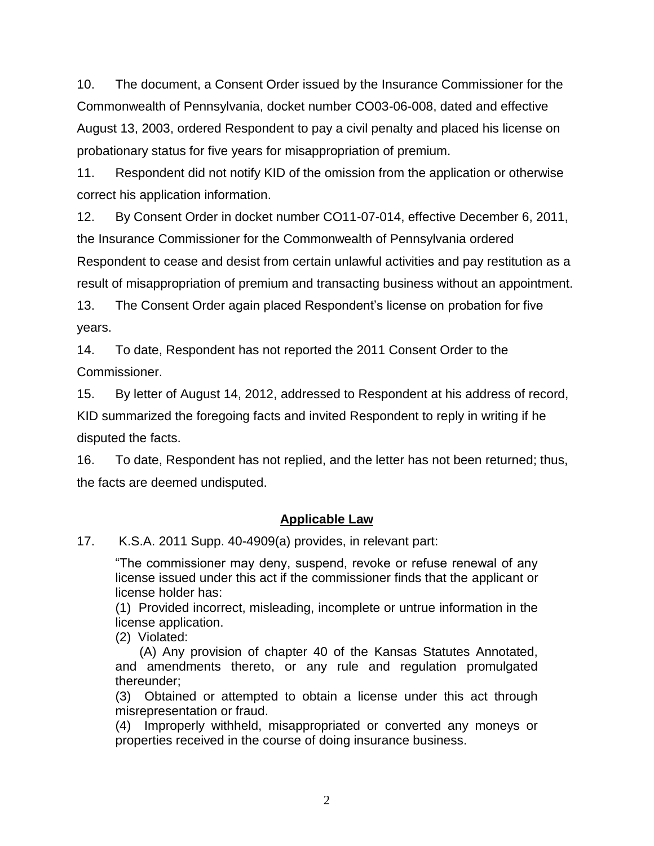10. The document, a Consent Order issued by the Insurance Commissioner for the Commonwealth of Pennsylvania, docket number CO03-06-008, dated and effective August 13, 2003, ordered Respondent to pay a civil penalty and placed his license on probationary status for five years for misappropriation of premium.

11. Respondent did not notify KID of the omission from the application or otherwise correct his application information.

12. By Consent Order in docket number CO11-07-014, effective December 6, 2011, the Insurance Commissioner for the Commonwealth of Pennsylvania ordered Respondent to cease and desist from certain unlawful activities and pay restitution as a result of misappropriation of premium and transacting business without an appointment.

13. The Consent Order again placed Respondent's license on probation for five years.

14. To date, Respondent has not reported the 2011 Consent Order to the Commissioner.

15. By letter of August 14, 2012, addressed to Respondent at his address of record, KID summarized the foregoing facts and invited Respondent to reply in writing if he disputed the facts.

16. To date, Respondent has not replied, and the letter has not been returned; thus, the facts are deemed undisputed.

# **Applicable Law**

17. K.S.A. 2011 Supp. 40-4909(a) provides, in relevant part:

"The commissioner may deny, suspend, revoke or refuse renewal of any license issued under this act if the commissioner finds that the applicant or license holder has:

(1) Provided incorrect, misleading, incomplete or untrue information in the license application.

(2) Violated:

(A) Any provision of chapter 40 of the Kansas Statutes Annotated, and amendments thereto, or any rule and regulation promulgated thereunder;

(3) Obtained or attempted to obtain a license under this act through misrepresentation or fraud.

(4) Improperly withheld, misappropriated or converted any moneys or properties received in the course of doing insurance business.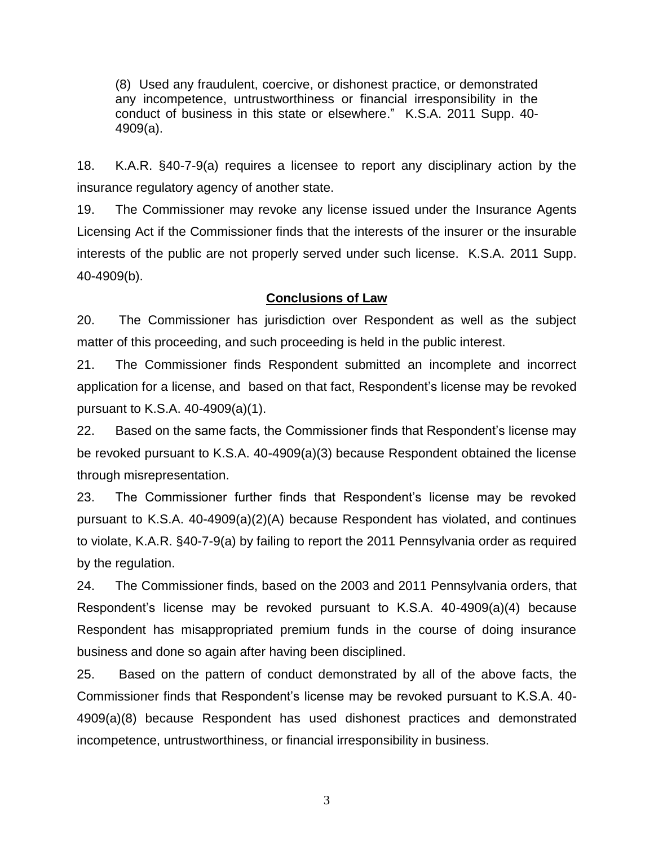(8) Used any fraudulent, coercive, or dishonest practice, or demonstrated any incompetence, untrustworthiness or financial irresponsibility in the conduct of business in this state or elsewhere." K.S.A. 2011 Supp. 40- 4909(a).

18. K.A.R. §40-7-9(a) requires a licensee to report any disciplinary action by the insurance regulatory agency of another state.

19. The Commissioner may revoke any license issued under the Insurance Agents Licensing Act if the Commissioner finds that the interests of the insurer or the insurable interests of the public are not properly served under such license. K.S.A. 2011 Supp. 40-4909(b).

#### **Conclusions of Law**

20. The Commissioner has jurisdiction over Respondent as well as the subject matter of this proceeding, and such proceeding is held in the public interest.

21. The Commissioner finds Respondent submitted an incomplete and incorrect application for a license, and based on that fact, Respondent's license may be revoked pursuant to K.S.A. 40-4909(a)(1).

22. Based on the same facts, the Commissioner finds that Respondent's license may be revoked pursuant to K.S.A. 40-4909(a)(3) because Respondent obtained the license through misrepresentation.

23. The Commissioner further finds that Respondent's license may be revoked pursuant to K.S.A. 40-4909(a)(2)(A) because Respondent has violated, and continues to violate, K.A.R. §40-7-9(a) by failing to report the 2011 Pennsylvania order as required by the regulation.

24. The Commissioner finds, based on the 2003 and 2011 Pennsylvania orders, that Respondent's license may be revoked pursuant to K.S.A. 40-4909(a)(4) because Respondent has misappropriated premium funds in the course of doing insurance business and done so again after having been disciplined.

25. Based on the pattern of conduct demonstrated by all of the above facts, the Commissioner finds that Respondent's license may be revoked pursuant to K.S.A. 40- 4909(a)(8) because Respondent has used dishonest practices and demonstrated incompetence, untrustworthiness, or financial irresponsibility in business.

3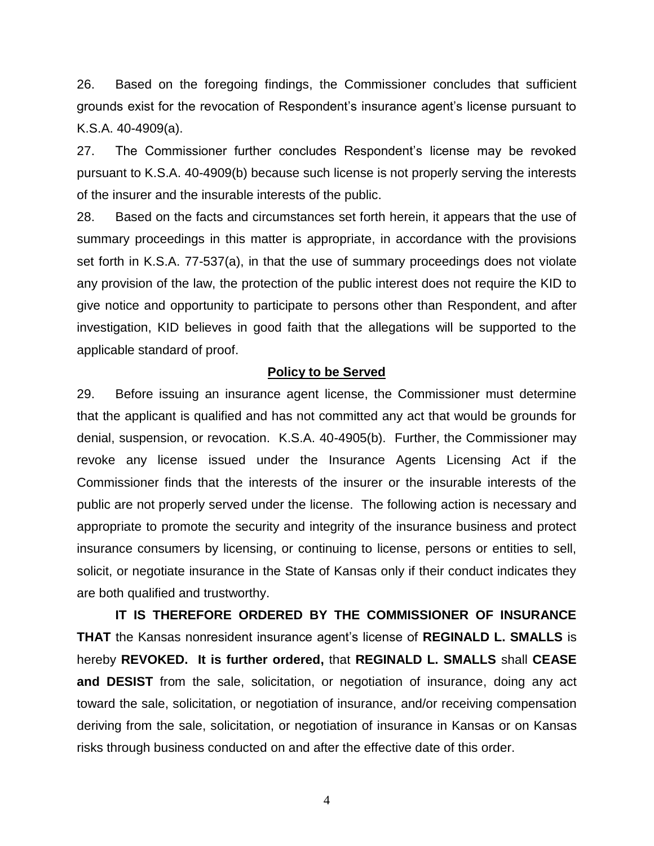26. Based on the foregoing findings, the Commissioner concludes that sufficient grounds exist for the revocation of Respondent's insurance agent's license pursuant to K.S.A. 40-4909(a).

27. The Commissioner further concludes Respondent's license may be revoked pursuant to K.S.A. 40-4909(b) because such license is not properly serving the interests of the insurer and the insurable interests of the public.

28. Based on the facts and circumstances set forth herein, it appears that the use of summary proceedings in this matter is appropriate, in accordance with the provisions set forth in K.S.A. 77-537(a), in that the use of summary proceedings does not violate any provision of the law, the protection of the public interest does not require the KID to give notice and opportunity to participate to persons other than Respondent, and after investigation, KID believes in good faith that the allegations will be supported to the applicable standard of proof.

#### **Policy to be Served**

29. Before issuing an insurance agent license, the Commissioner must determine that the applicant is qualified and has not committed any act that would be grounds for denial, suspension, or revocation. K.S.A. 40-4905(b). Further, the Commissioner may revoke any license issued under the Insurance Agents Licensing Act if the Commissioner finds that the interests of the insurer or the insurable interests of the public are not properly served under the license. The following action is necessary and appropriate to promote the security and integrity of the insurance business and protect insurance consumers by licensing, or continuing to license, persons or entities to sell, solicit, or negotiate insurance in the State of Kansas only if their conduct indicates they are both qualified and trustworthy.

**IT IS THEREFORE ORDERED BY THE COMMISSIONER OF INSURANCE THAT** the Kansas nonresident insurance agent's license of **REGINALD L. SMALLS** is hereby **REVOKED. It is further ordered,** that **REGINALD L. SMALLS** shall **CEASE and DESIST** from the sale, solicitation, or negotiation of insurance, doing any act toward the sale, solicitation, or negotiation of insurance, and/or receiving compensation deriving from the sale, solicitation, or negotiation of insurance in Kansas or on Kansas risks through business conducted on and after the effective date of this order.

4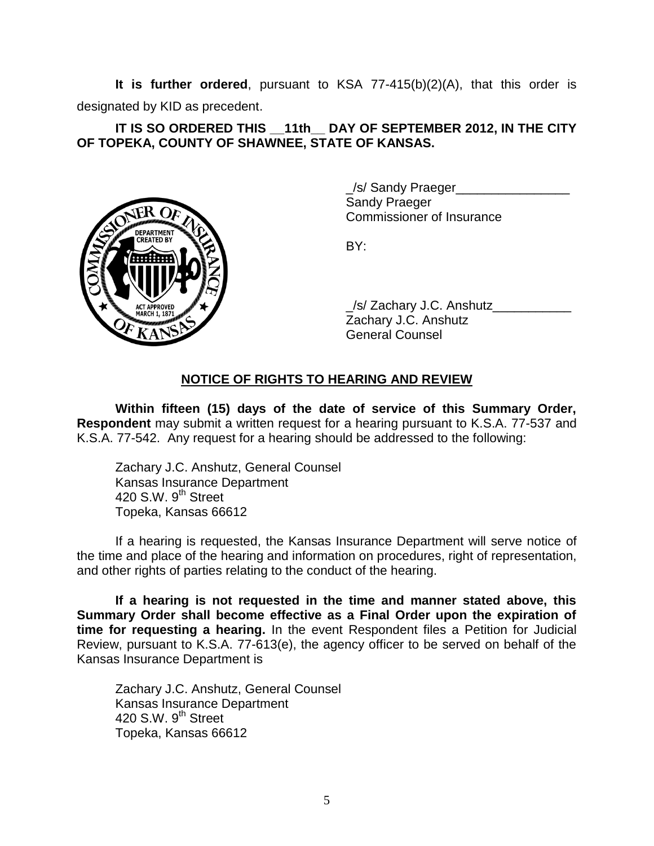**It is further ordered**, pursuant to KSA 77-415(b)(2)(A), that this order is designated by KID as precedent.

## **IT IS SO ORDERED THIS \_\_11th\_\_ DAY OF SEPTEMBER 2012, IN THE CITY OF TOPEKA, COUNTY OF SHAWNEE, STATE OF KANSAS.**



\_/s/ Sandy Praeger\_\_\_\_\_\_\_\_\_\_\_\_\_\_\_\_ Sandy Praeger Commissioner of Insurance

BY:

/s/ Zachary J.C. Anshutz Zachary J.C. Anshutz General Counsel

# **NOTICE OF RIGHTS TO HEARING AND REVIEW**

**Within fifteen (15) days of the date of service of this Summary Order, Respondent** may submit a written request for a hearing pursuant to K.S.A. 77-537 and K.S.A. 77-542. Any request for a hearing should be addressed to the following:

Zachary J.C. Anshutz, General Counsel Kansas Insurance Department 420 S.W. 9<sup>th</sup> Street Topeka, Kansas 66612

If a hearing is requested, the Kansas Insurance Department will serve notice of the time and place of the hearing and information on procedures, right of representation, and other rights of parties relating to the conduct of the hearing.

**If a hearing is not requested in the time and manner stated above, this Summary Order shall become effective as a Final Order upon the expiration of time for requesting a hearing.** In the event Respondent files a Petition for Judicial Review, pursuant to K.S.A. 77-613(e), the agency officer to be served on behalf of the Kansas Insurance Department is

Zachary J.C. Anshutz, General Counsel Kansas Insurance Department 420 S.W.  $9<sup>th</sup>$  Street Topeka, Kansas 66612